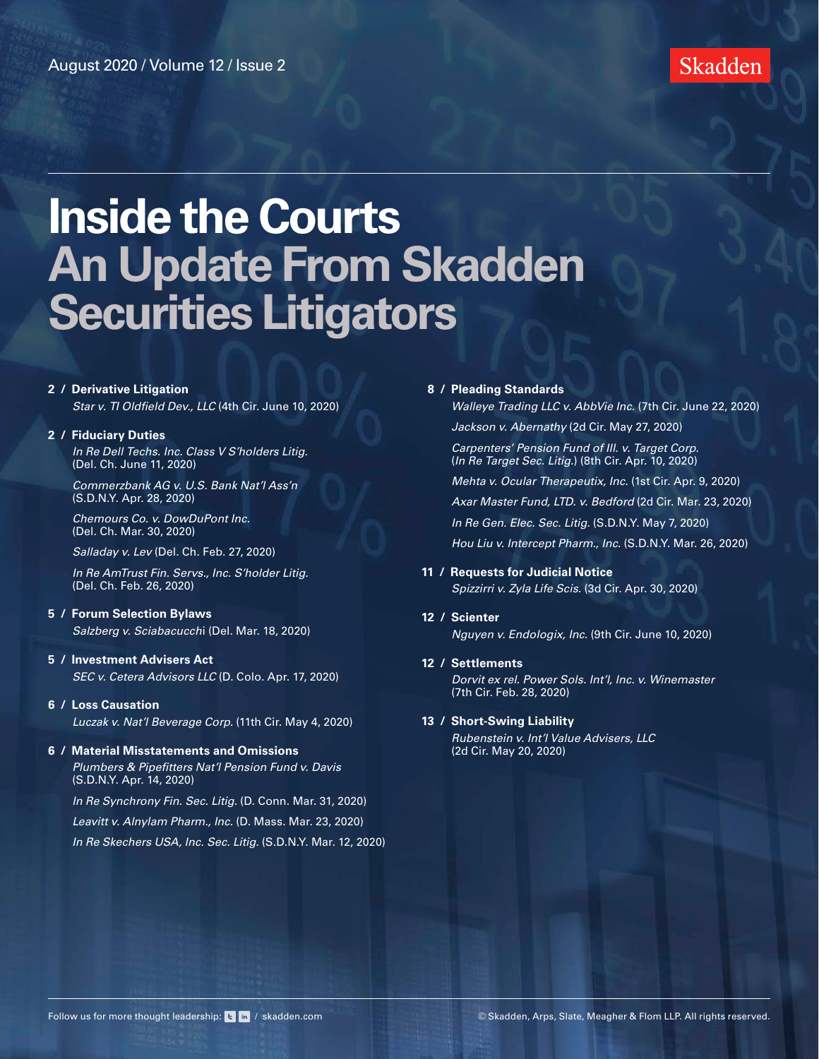

#### **2 / [Derivative Litigation](#page-1-0)**

*[Star v. TI Oldfield Dev., LLC](#page-1-0)* (4th Cir. June 10, 2020)

#### **2 / [Fiduciary Duties](#page-1-0)**

*[In Re Dell Techs. Inc. Class V S'holders Litig.](#page-1-0)*  [\(Del. Ch. June 11, 2020\)](#page-1-0)

*[Commerzbank AG v. U.S. Bank Nat'l Ass'n](#page-2-0)* [\(S.D.N.Y. Apr. 28, 2020\)](#page-2-0)

*[Chemours Co. v. DowDuPont Inc.](#page-2-0)* [\(Del. Ch. Mar. 30, 2020\)](#page-2-0) 

*Salladay v. Lev* [\(Del. Ch. Feb. 27, 2020\)](#page-3-0)

*[In Re AmTrust Fin. Servs., Inc. S'holder Litig.](#page-3-0)*  [\(Del. Ch. Feb. 26, 2020\)](#page-3-0)

#### **5 / [Forum Selection Bylaws](#page-4-0)**

*[Salzberg v. Sciabacucch](#page-4-0)*i (Del. Mar. 18, 2020)

- **5 / [Investment Advisers Act](#page-4-0)** *[SEC v. Cetera Advisors LLC](#page-4-0)* (D. Colo. Apr. 17, 2020)
- **6 / [Loss Causation](#page-5-0)** *[Luczak v. Nat'l Beverage Corp.](#page-5-0)* (11th Cir. May 4, 2020)

#### **6 / [Material Misstatements and Omissions](#page-5-0)** *[Plumbers & Pipefitters Nat'l Pension Fund v. Davis](#page-5-0)*  [\(S.D.N.Y. Apr. 14, 2020\)](#page-5-0)

*[In Re Synchrony Fin. Sec. Litig.](#page-6-0)* (D. Conn. Mar. 31, 2020) *[Leavitt v. Alnylam Pharm., Inc.](#page-6-0)* (D. Mass. Mar. 23, 2020) *[In Re Skechers USA, Inc. Sec. Litig.](#page-7-0)* (S.D.N.Y. Mar. 12, 2020)

#### **8 / [Pleading Standards](#page-7-0)**

 *[Walleye Trading LLC v. AbbVie Inc.](#page-7-0)* (7th Cir. June 22, 2020)  *Jackson v. Abernathy* [\(2d Cir. May 27, 2020\)](#page-8-0)  *[Carpenters' Pension Fund of Ill. v. Target Corp.](#page-8-0)* (*In Re Target Sec. Litig.*[\) \(8th Cir. Apr. 10, 2020\)](#page-8-0)  *[Mehta v. Ocular Therapeutix, Inc.](#page-9-0)* (1st Cir. Apr. 9, 2020)

 *[Axar Master Fund, LTD. v. Bedford](#page-9-0)* (2d Cir. Mar. 23, 2020)  *[In Re Gen. Elec. Sec. Litig.](#page-10-0)* (S.D.N.Y. May 7, 2020)  *[Hou Liu v. Intercept Pharm., Inc.](#page-10-0)* (S.D.N.Y. Mar. 26, 2020)

### **11 / [Requests for Judicial Notice](#page-10-0)**

*[Spizzirri v. Zyla Life Scis.](#page-10-0)* (3d Cir. Apr. 30, 2020)

**12 / [Scienter](#page-11-0)** *[Nguyen v. Endologix, Inc.](#page-11-0)* (9th Cir. June 10, 2020)

#### **12 / [Settlements](#page-11-0)**

 *[Dorvit ex rel. Power Sols. Int'l, Inc. v. Winemaster](#page-11-0)*  [\(7th Cir. Feb. 28, 2020\)](#page-11-0)

#### **13 / [Short-Swing Liability](#page-12-0)**

 *[Rubenstein v. Int'l Value Advisers, LLC](#page-12-0)*   [\(2d Cir. May 20, 2020\)](#page-12-0)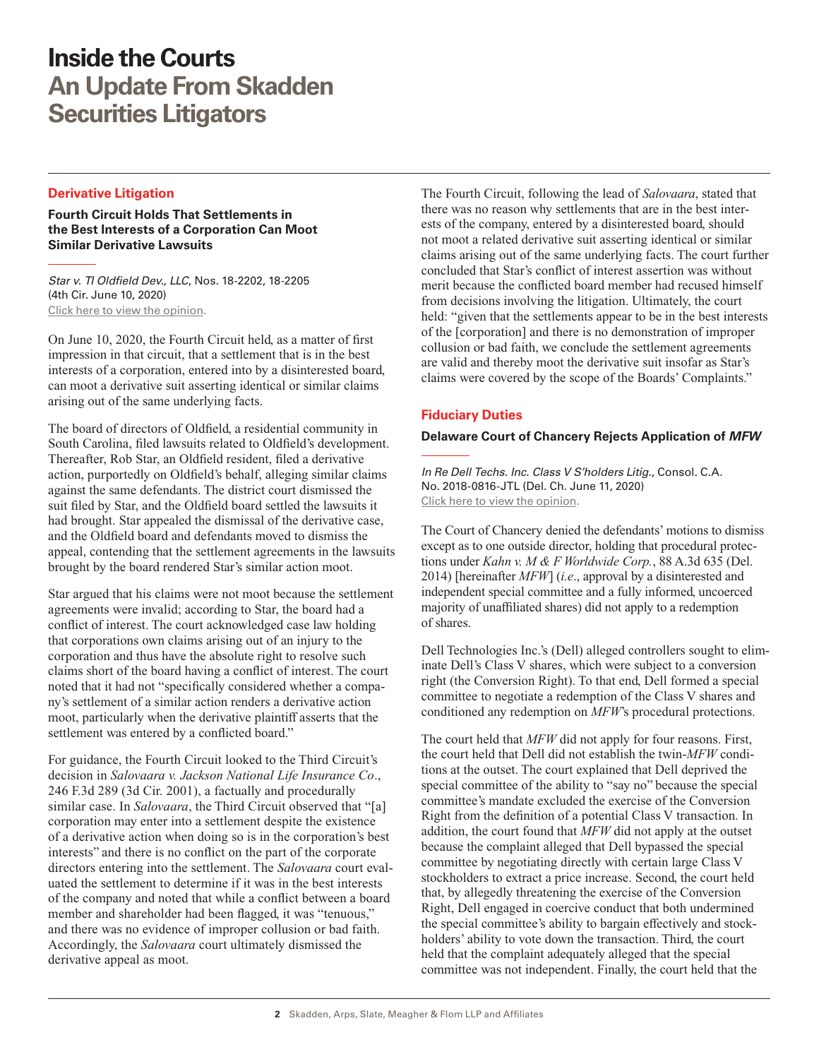#### <span id="page-1-0"></span>**Derivative Litigation**

**Fourth Circuit Holds That Settlements in the Best Interests of a Corporation Can Moot Similar Derivative Lawsuits**

*Star v. TI Oldfield Dev., LLC*, Nos. 18-2202, 18-2205 (4th Cir. June 10, 2020) [Click here to view the opinion](http://www.skadden.com/-/media/files/publications/2020/07/inside-the-courts/star-v-ti-oldfield.pdf).

On June 10, 2020, the Fourth Circuit held, as a matter of first impression in that circuit, that a settlement that is in the best interests of a corporation, entered into by a disinterested board, can moot a derivative suit asserting identical or similar claims arising out of the same underlying facts.

The board of directors of Oldfield, a residential community in South Carolina, filed lawsuits related to Oldfield's development. Thereafter, Rob Star, an Oldfield resident, filed a derivative action, purportedly on Oldfield's behalf, alleging similar claims against the same defendants. The district court dismissed the suit filed by Star, and the Oldfield board settled the lawsuits it had brought. Star appealed the dismissal of the derivative case, and the Oldfield board and defendants moved to dismiss the appeal, contending that the settlement agreements in the lawsuits brought by the board rendered Star's similar action moot.

Star argued that his claims were not moot because the settlement agreements were invalid; according to Star, the board had a conflict of interest. The court acknowledged case law holding that corporations own claims arising out of an injury to the corporation and thus have the absolute right to resolve such claims short of the board having a conflict of interest. The court noted that it had not "specifically considered whether a company's settlement of a similar action renders a derivative action moot, particularly when the derivative plaintiff asserts that the settlement was entered by a conflicted board."

For guidance, the Fourth Circuit looked to the Third Circuit's decision in *Salovaara v. Jackson National Life Insurance Co*., 246 F.3d 289 (3d Cir. 2001), a factually and procedurally similar case. In *Salovaara*, the Third Circuit observed that "[a] corporation may enter into a settlement despite the existence of a derivative action when doing so is in the corporation's best interests" and there is no conflict on the part of the corporate directors entering into the settlement. The *Salovaara* court evaluated the settlement to determine if it was in the best interests of the company and noted that while a conflict between a board member and shareholder had been flagged, it was "tenuous," and there was no evidence of improper collusion or bad faith. Accordingly, the *Salovaara* court ultimately dismissed the derivative appeal as moot.

The Fourth Circuit, following the lead of *Salovaara*, stated that there was no reason why settlements that are in the best interests of the company, entered by a disinterested board, should not moot a related derivative suit asserting identical or similar claims arising out of the same underlying facts. The court further concluded that Star's conflict of interest assertion was without merit because the conflicted board member had recused himself from decisions involving the litigation. Ultimately, the court held: "given that the settlements appear to be in the best interests of the [corporation] and there is no demonstration of improper collusion or bad faith, we conclude the settlement agreements are valid and thereby moot the derivative suit insofar as Star's claims were covered by the scope of the Boards' Complaints."

#### **Fiduciary Duties**

#### **Delaware Court of Chancery Rejects Application of** *MFW*

*In Re Dell Techs. Inc. Class V S'holders Litig.*, Consol. C.A. No. 2018-0816-JTL (Del. Ch. June 11, 2020) [Click here to view the opinion](http://www.skadden.com/-/media/files/publications/2020/07/inside-the-courts/dell-technologies-inc-class-v-stockholders-litigat.pdf).

The Court of Chancery denied the defendants' motions to dismiss except as to one outside director, holding that procedural protections under *Kahn v. M & F Worldwide Corp.*, 88 A.3d 635 (Del. 2014) [hereinafter *MFW*] (*i.e*., approval by a disinterested and independent special committee and a fully informed, uncoerced majority of unaffiliated shares) did not apply to a redemption of shares.

Dell Technologies Inc.'s (Dell) alleged controllers sought to eliminate Dell's Class V shares, which were subject to a conversion right (the Conversion Right). To that end, Dell formed a special committee to negotiate a redemption of the Class V shares and conditioned any redemption on *MFW*'s procedural protections.

The court held that *MFW* did not apply for four reasons. First, the court held that Dell did not establish the twin-*MFW* conditions at the outset. The court explained that Dell deprived the special committee of the ability to "say no" because the special committee's mandate excluded the exercise of the Conversion Right from the definition of a potential Class V transaction. In addition, the court found that *MFW* did not apply at the outset because the complaint alleged that Dell bypassed the special committee by negotiating directly with certain large Class V stockholders to extract a price increase. Second, the court held that, by allegedly threatening the exercise of the Conversion Right, Dell engaged in coercive conduct that both undermined the special committee's ability to bargain effectively and stockholders' ability to vote down the transaction. Third, the court held that the complaint adequately alleged that the special committee was not independent. Finally, the court held that the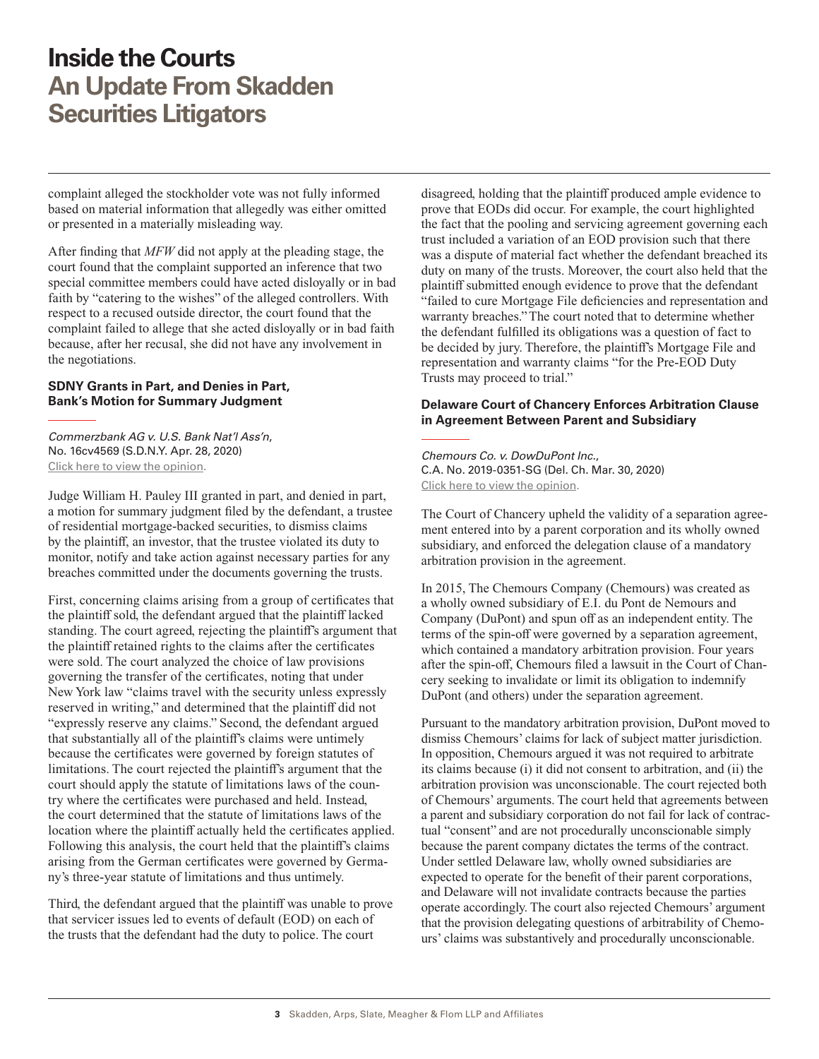<span id="page-2-0"></span>complaint alleged the stockholder vote was not fully informed based on material information that allegedly was either omitted or presented in a materially misleading way.

After finding that *MFW* did not apply at the pleading stage, the court found that the complaint supported an inference that two special committee members could have acted disloyally or in bad faith by "catering to the wishes" of the alleged controllers. With respect to a recused outside director, the court found that the complaint failed to allege that she acted disloyally or in bad faith because, after her recusal, she did not have any involvement in the negotiations.

#### **SDNY Grants in Part, and Denies in Part, Bank's Motion for Summary Judgment**

*Commerzbank AG v. U.S. Bank Nat'l Ass'n*, No. 16cv4569 (S.D.N.Y. Apr. 28, 2020) [Click here to view the opinion](http://www.skadden.com/-/media/files/publications/2020/07/inside-the-courts/commerzbank-ag-v-us-bank-nat-assoc--opinon.pdf).

Judge William H. Pauley III granted in part, and denied in part, a motion for summary judgment filed by the defendant, a trustee of residential mortgage-backed securities, to dismiss claims by the plaintiff, an investor, that the trustee violated its duty to monitor, notify and take action against necessary parties for any breaches committed under the documents governing the trusts.

First, concerning claims arising from a group of certificates that the plaintiff sold, the defendant argued that the plaintiff lacked standing. The court agreed, rejecting the plaintiff's argument that the plaintiff retained rights to the claims after the certificates were sold. The court analyzed the choice of law provisions governing the transfer of the certificates, noting that under New York law "claims travel with the security unless expressly reserved in writing," and determined that the plaintiff did not "expressly reserve any claims." Second, the defendant argued that substantially all of the plaintiff's claims were untimely because the certificates were governed by foreign statutes of limitations. The court rejected the plaintiff's argument that the court should apply the statute of limitations laws of the country where the certificates were purchased and held. Instead, the court determined that the statute of limitations laws of the location where the plaintiff actually held the certificates applied. Following this analysis, the court held that the plaintiff's claims arising from the German certificates were governed by Germany's three-year statute of limitations and thus untimely.

Third, the defendant argued that the plaintiff was unable to prove that servicer issues led to events of default (EOD) on each of the trusts that the defendant had the duty to police. The court

disagreed, holding that the plaintiff produced ample evidence to prove that EODs did occur. For example, the court highlighted the fact that the pooling and servicing agreement governing each trust included a variation of an EOD provision such that there was a dispute of material fact whether the defendant breached its duty on many of the trusts. Moreover, the court also held that the plaintiff submitted enough evidence to prove that the defendant "failed to cure Mortgage File deficiencies and representation and warranty breaches." The court noted that to determine whether the defendant fulfilled its obligations was a question of fact to be decided by jury. Therefore, the plaintiff's Mortgage File and representation and warranty claims "for the Pre-EOD Duty Trusts may proceed to trial."

#### **Delaware Court of Chancery Enforces Arbitration Clause in Agreement Between Parent and Subsidiary**

*Chemours Co. v. DowDuPont Inc.*, C.A. No. 2019-0351-SG (Del. Ch. Mar. 30, 2020) [Click here to view the opinion](http://www.skadden.com/-/media/files/publications/2020/07/inside-the-courts/the-chemours-company-v-dowdupont-inc-et-al.pdf).

The Court of Chancery upheld the validity of a separation agreement entered into by a parent corporation and its wholly owned subsidiary, and enforced the delegation clause of a mandatory arbitration provision in the agreement.

In 2015, The Chemours Company (Chemours) was created as a wholly owned subsidiary of E.I. du Pont de Nemours and Company (DuPont) and spun off as an independent entity. The terms of the spin-off were governed by a separation agreement, which contained a mandatory arbitration provision. Four years after the spin-off, Chemours filed a lawsuit in the Court of Chancery seeking to invalidate or limit its obligation to indemnify DuPont (and others) under the separation agreement.

Pursuant to the mandatory arbitration provision, DuPont moved to dismiss Chemours' claims for lack of subject matter jurisdiction. In opposition, Chemours argued it was not required to arbitrate its claims because (i) it did not consent to arbitration, and (ii) the arbitration provision was unconscionable. The court rejected both of Chemours' arguments. The court held that agreements between a parent and subsidiary corporation do not fail for lack of contractual "consent" and are not procedurally unconscionable simply because the parent company dictates the terms of the contract. Under settled Delaware law, wholly owned subsidiaries are expected to operate for the benefit of their parent corporations, and Delaware will not invalidate contracts because the parties operate accordingly. The court also rejected Chemours' argument that the provision delegating questions of arbitrability of Chemours' claims was substantively and procedurally unconscionable.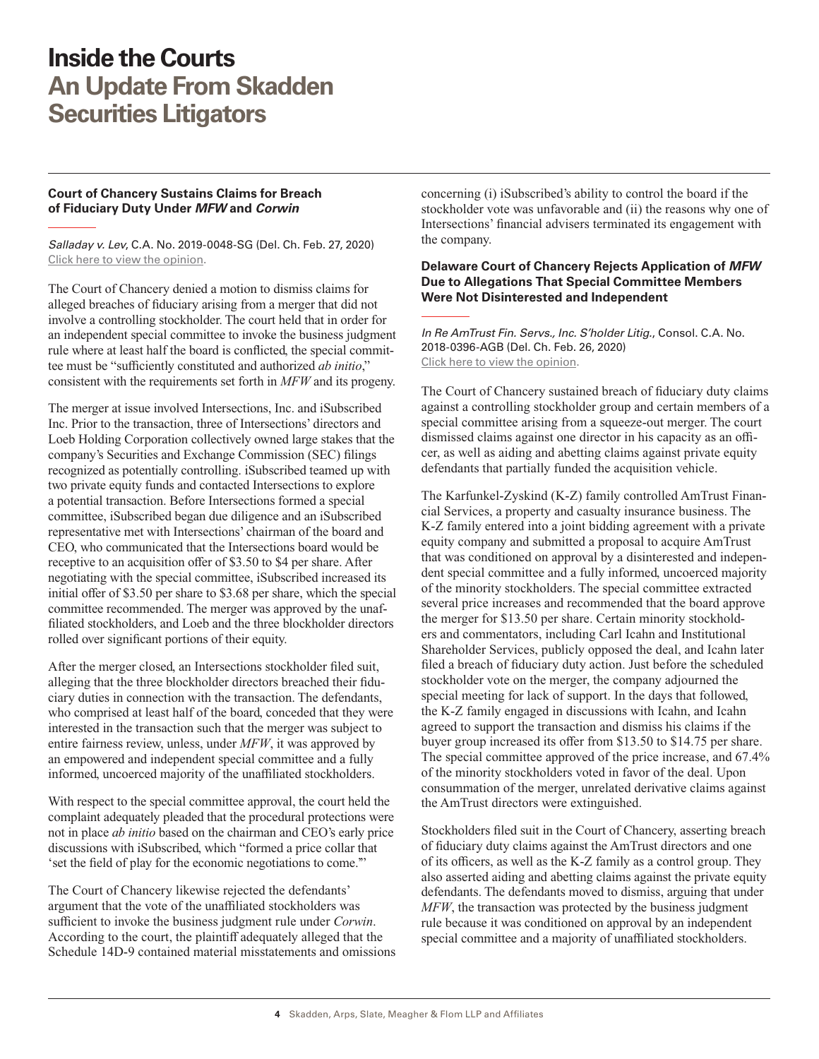#### <span id="page-3-0"></span>**Court of Chancery Sustains Claims for Breach of Fiduciary Duty Under** *MFW* **and** *Corwin*

*Salladay v. Lev*, C.A. No. 2019-0048-SG (Del. Ch. Feb. 27, 2020) [Click here to view the opinion](http://www.skadden.com/-/media/files/publications/2020/07/inside-the-courts/salladay-v-lev.pdf).

The Court of Chancery denied a motion to dismiss claims for alleged breaches of fiduciary arising from a merger that did not involve a controlling stockholder. The court held that in order for an independent special committee to invoke the business judgment rule where at least half the board is conflicted, the special committee must be "sufficiently constituted and authorized *ab initio*," consistent with the requirements set forth in *MFW* and its progeny.

The merger at issue involved Intersections, Inc. and iSubscribed Inc. Prior to the transaction, three of Intersections' directors and Loeb Holding Corporation collectively owned large stakes that the company's Securities and Exchange Commission (SEC) filings recognized as potentially controlling. iSubscribed teamed up with two private equity funds and contacted Intersections to explore a potential transaction. Before Intersections formed a special committee, iSubscribed began due diligence and an iSubscribed representative met with Intersections' chairman of the board and CEO, who communicated that the Intersections board would be receptive to an acquisition offer of \$3.50 to \$4 per share. After negotiating with the special committee, iSubscribed increased its initial offer of \$3.50 per share to \$3.68 per share, which the special committee recommended. The merger was approved by the unaffiliated stockholders, and Loeb and the three blockholder directors rolled over significant portions of their equity.

After the merger closed, an Intersections stockholder filed suit, alleging that the three blockholder directors breached their fiduciary duties in connection with the transaction. The defendants, who comprised at least half of the board, conceded that they were interested in the transaction such that the merger was subject to entire fairness review, unless, under *MFW*, it was approved by an empowered and independent special committee and a fully informed, uncoerced majority of the unaffiliated stockholders.

With respect to the special committee approval, the court held the complaint adequately pleaded that the procedural protections were not in place *ab initio* based on the chairman and CEO's early price discussions with iSubscribed, which "formed a price collar that 'set the field of play for the economic negotiations to come.'"

The Court of Chancery likewise rejected the defendants' argument that the vote of the unaffiliated stockholders was sufficient to invoke the business judgment rule under *Corwin*. According to the court, the plaintiff adequately alleged that the Schedule 14D-9 contained material misstatements and omissions concerning (i) iSubscribed's ability to control the board if the stockholder vote was unfavorable and (ii) the reasons why one of Intersections' financial advisers terminated its engagement with the company.

#### **Delaware Court of Chancery Rejects Application of** *MFW* **Due to Allegations That Special Committee Members Were Not Disinterested and Independent**

*In Re AmTrust Fin. Servs., Inc. S'holder Litig.*, Consol. C.A. No. 2018-0396-AGB (Del. Ch. Feb. 26, 2020) [Click here to view the opinion](http://www.skadden.com/-/media/files/publications/2020/07/inside-the-courts/in-re-amtrust-financial-services-inc-stockholder-l.pdf).

The Court of Chancery sustained breach of fiduciary duty claims against a controlling stockholder group and certain members of a special committee arising from a squeeze-out merger. The court dismissed claims against one director in his capacity as an officer, as well as aiding and abetting claims against private equity defendants that partially funded the acquisition vehicle.

The Karfunkel-Zyskind (K-Z) family controlled AmTrust Financial Services, a property and casualty insurance business. The K-Z family entered into a joint bidding agreement with a private equity company and submitted a proposal to acquire AmTrust that was conditioned on approval by a disinterested and independent special committee and a fully informed, uncoerced majority of the minority stockholders. The special committee extracted several price increases and recommended that the board approve the merger for \$13.50 per share. Certain minority stockholders and commentators, including Carl Icahn and Institutional Shareholder Services, publicly opposed the deal, and Icahn later filed a breach of fiduciary duty action. Just before the scheduled stockholder vote on the merger, the company adjourned the special meeting for lack of support. In the days that followed, the K-Z family engaged in discussions with Icahn, and Icahn agreed to support the transaction and dismiss his claims if the buyer group increased its offer from \$13.50 to \$14.75 per share. The special committee approved of the price increase, and 67.4% of the minority stockholders voted in favor of the deal. Upon consummation of the merger, unrelated derivative claims against the AmTrust directors were extinguished.

Stockholders filed suit in the Court of Chancery, asserting breach of fiduciary duty claims against the AmTrust directors and one of its officers, as well as the K-Z family as a control group. They also asserted aiding and abetting claims against the private equity defendants. The defendants moved to dismiss, arguing that under *MFW*, the transaction was protected by the business judgment rule because it was conditioned on approval by an independent special committee and a majority of unaffiliated stockholders.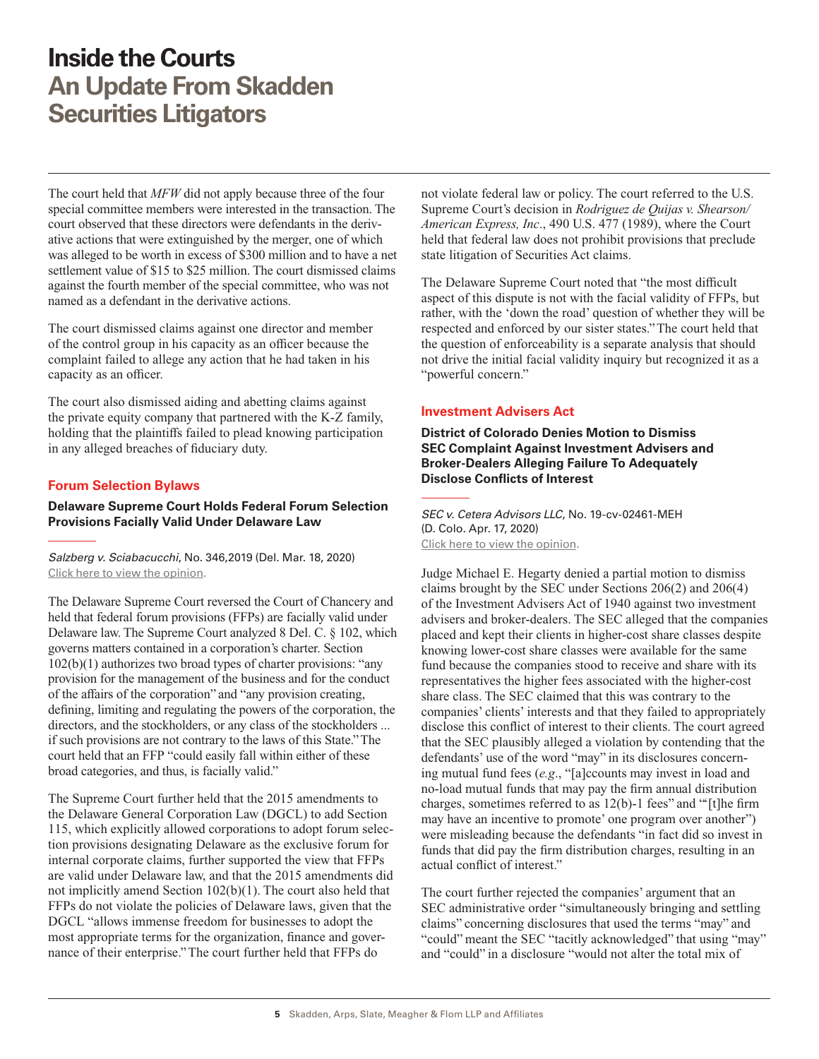<span id="page-4-0"></span>The court held that *MFW* did not apply because three of the four special committee members were interested in the transaction. The court observed that these directors were defendants in the derivative actions that were extinguished by the merger, one of which was alleged to be worth in excess of \$300 million and to have a net settlement value of \$15 to \$25 million. The court dismissed claims against the fourth member of the special committee, who was not named as a defendant in the derivative actions.

The court dismissed claims against one director and member of the control group in his capacity as an officer because the complaint failed to allege any action that he had taken in his capacity as an officer.

The court also dismissed aiding and abetting claims against the private equity company that partnered with the K-Z family, holding that the plaintiffs failed to plead knowing participation in any alleged breaches of fiduciary duty.

#### **Forum Selection Bylaws**

**Delaware Supreme Court Holds Federal Forum Selection Provisions Facially Valid Under Delaware Law**

*Salzberg v. Sciabacucchi*, No. 346,2019 (Del. Mar. 18, 2020) [Click here to view the opinion](http://www.skadden.com/-/media/files/publications/2020/07/inside-the-courts/salzberg-v-blue-apron-holdings-inc-et-al.pdf).

The Delaware Supreme Court reversed the Court of Chancery and held that federal forum provisions (FFPs) are facially valid under Delaware law. The Supreme Court analyzed 8 Del. C. § 102, which governs matters contained in a corporation's charter. Section 102(b)(1) authorizes two broad types of charter provisions: "any provision for the management of the business and for the conduct of the affairs of the corporation" and "any provision creating, defining, limiting and regulating the powers of the corporation, the directors, and the stockholders, or any class of the stockholders ... if such provisions are not contrary to the laws of this State." The court held that an FFP "could easily fall within either of these broad categories, and thus, is facially valid."

The Supreme Court further held that the 2015 amendments to the Delaware General Corporation Law (DGCL) to add Section 115, which explicitly allowed corporations to adopt forum selection provisions designating Delaware as the exclusive forum for internal corporate claims, further supported the view that FFPs are valid under Delaware law, and that the 2015 amendments did not implicitly amend Section 102(b)(1). The court also held that FFPs do not violate the policies of Delaware laws, given that the DGCL "allows immense freedom for businesses to adopt the most appropriate terms for the organization, finance and governance of their enterprise." The court further held that FFPs do

not violate federal law or policy. The court referred to the U.S. Supreme Court's decision in *Rodriguez de Quijas v. Shearson/ American Express, Inc*., 490 U.S. 477 (1989), where the Court held that federal law does not prohibit provisions that preclude state litigation of Securities Act claims.

The Delaware Supreme Court noted that "the most difficult aspect of this dispute is not with the facial validity of FFPs, but rather, with the 'down the road' question of whether they will be respected and enforced by our sister states." The court held that the question of enforceability is a separate analysis that should not drive the initial facial validity inquiry but recognized it as a "powerful concern."

#### **Investment Advisers Act**

**District of Colorado Denies Motion to Dismiss SEC Complaint Against Investment Advisers and Broker-Dealers Alleging Failure To Adequately Disclose Conflicts of Interest**

*SEC v. Cetera Advisors LLC*, No. 19-cv-02461-MEH (D. Colo. Apr. 17, 2020) [Click here to view the opinion](http://www.skadden.com/-/media/files/publications/2020/07/inside-the-courts/sec-v-cetera-advisors-llc-order.pdf).

Judge Michael E. Hegarty denied a partial motion to dismiss claims brought by the SEC under Sections 206(2) and 206(4) of the Investment Advisers Act of 1940 against two investment advisers and broker-dealers. The SEC alleged that the companies placed and kept their clients in higher-cost share classes despite knowing lower-cost share classes were available for the same fund because the companies stood to receive and share with its representatives the higher fees associated with the higher-cost share class. The SEC claimed that this was contrary to the companies' clients' interests and that they failed to appropriately disclose this conflict of interest to their clients. The court agreed that the SEC plausibly alleged a violation by contending that the defendants' use of the word "may" in its disclosures concerning mutual fund fees (*e.g*., "[a]ccounts may invest in load and no-load mutual funds that may pay the firm annual distribution charges, sometimes referred to as 12(b)-1 fees" and "'[t]he firm may have an incentive to promote' one program over another") were misleading because the defendants "in fact did so invest in funds that did pay the firm distribution charges, resulting in an actual conflict of interest."

The court further rejected the companies' argument that an SEC administrative order "simultaneously bringing and settling claims" concerning disclosures that used the terms "may" and "could" meant the SEC "tacitly acknowledged" that using "may" and "could" in a disclosure "would not alter the total mix of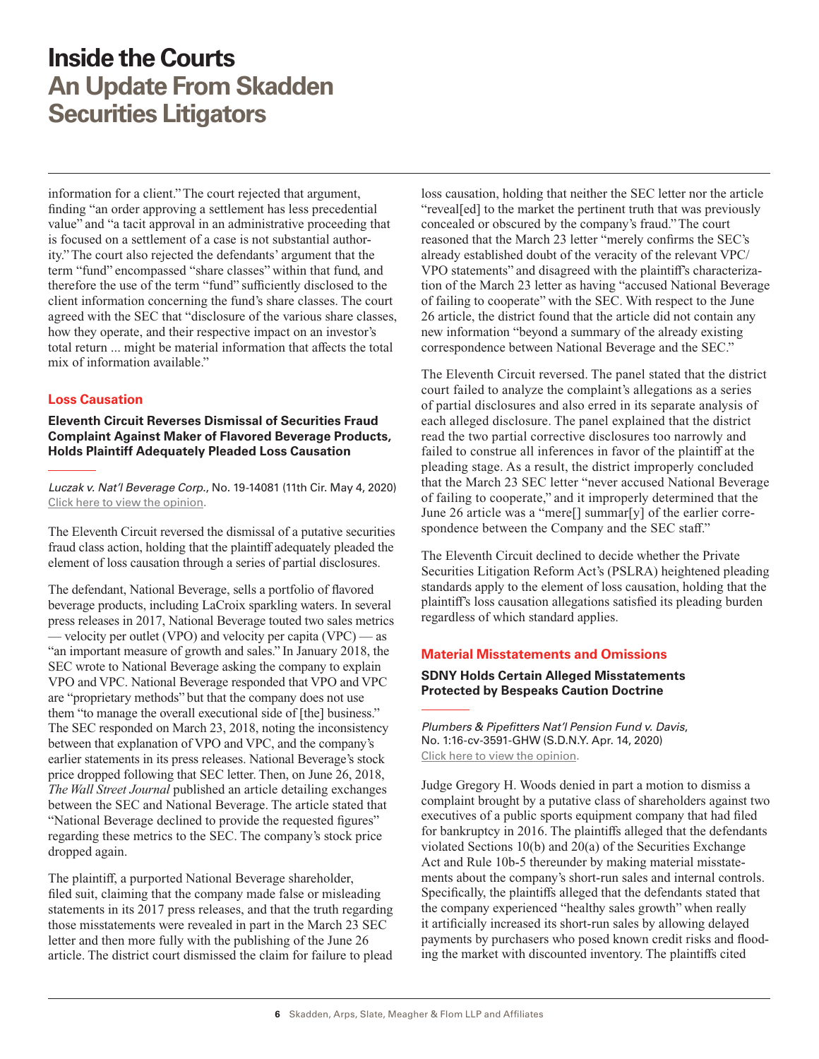<span id="page-5-0"></span>information for a client." The court rejected that argument, finding "an order approving a settlement has less precedential value" and "a tacit approval in an administrative proceeding that is focused on a settlement of a case is not substantial authority." The court also rejected the defendants' argument that the term "fund" encompassed "share classes" within that fund, and therefore the use of the term "fund" sufficiently disclosed to the client information concerning the fund's share classes. The court agreed with the SEC that "disclosure of the various share classes, how they operate, and their respective impact on an investor's total return ... might be material information that affects the total mix of information available."

#### **Loss Causation**

**Eleventh Circuit Reverses Dismissal of Securities Fraud Complaint Against Maker of Flavored Beverage Products, Holds Plaintiff Adequately Pleaded Loss Causation**

*Luczak v. Nat'l Beverage Corp.*, No. 19-14081 (11th Cir. May 4, 2020) [Click here to view the opinion](http://www.skadden.com/-/media/files/publications/2020/07/inside-the-courts/luczak-v-national-beverage-corp.pdf).

The Eleventh Circuit reversed the dismissal of a putative securities fraud class action, holding that the plaintiff adequately pleaded the element of loss causation through a series of partial disclosures.

The defendant, National Beverage, sells a portfolio of flavored beverage products, including LaCroix sparkling waters. In several press releases in 2017, National Beverage touted two sales metrics — velocity per outlet (VPO) and velocity per capita (VPC) — as "an important measure of growth and sales." In January 2018, the SEC wrote to National Beverage asking the company to explain VPO and VPC. National Beverage responded that VPO and VPC are "proprietary methods" but that the company does not use them "to manage the overall executional side of [the] business." The SEC responded on March 23, 2018, noting the inconsistency between that explanation of VPO and VPC, and the company's earlier statements in its press releases. National Beverage's stock price dropped following that SEC letter. Then, on June 26, 2018, *The Wall Street Journal* published an article detailing exchanges between the SEC and National Beverage. The article stated that "National Beverage declined to provide the requested figures" regarding these metrics to the SEC. The company's stock price dropped again.

The plaintiff, a purported National Beverage shareholder, filed suit, claiming that the company made false or misleading statements in its 2017 press releases, and that the truth regarding those misstatements were revealed in part in the March 23 SEC letter and then more fully with the publishing of the June 26 article. The district court dismissed the claim for failure to plead

loss causation, holding that neither the SEC letter nor the article "reveal[ed] to the market the pertinent truth that was previously concealed or obscured by the company's fraud." The court reasoned that the March 23 letter "merely confirms the SEC's already established doubt of the veracity of the relevant VPC/ VPO statements" and disagreed with the plaintiff's characterization of the March 23 letter as having "accused National Beverage of failing to cooperate" with the SEC. With respect to the June 26 article, the district found that the article did not contain any new information "beyond a summary of the already existing correspondence between National Beverage and the SEC."

The Eleventh Circuit reversed. The panel stated that the district court failed to analyze the complaint's allegations as a series of partial disclosures and also erred in its separate analysis of each alleged disclosure. The panel explained that the district read the two partial corrective disclosures too narrowly and failed to construe all inferences in favor of the plaintiff at the pleading stage. As a result, the district improperly concluded that the March 23 SEC letter "never accused National Beverage of failing to cooperate," and it improperly determined that the June 26 article was a "mere[] summar[y] of the earlier correspondence between the Company and the SEC staff."

The Eleventh Circuit declined to decide whether the Private Securities Litigation Reform Act's (PSLRA) heightened pleading standards apply to the element of loss causation, holding that the plaintiff's loss causation allegations satisfied its pleading burden regardless of which standard applies.

#### **Material Misstatements and Omissions**

#### **SDNY Holds Certain Alleged Misstatements Protected by Bespeaks Caution Doctrine**

*Plumbers & Pipefitters Nat'l Pension Fund v. Davis*, No. 1:16-cv-3591-GHW (S.D.N.Y. Apr. 14, 2020) [Click here to view the opinion](http://www.skadden.com/-/media/files/publications/2020/07/inside-the-courts/nieves-v-davis-et-al-case-number-16cv03591-41520.pdf).

Judge Gregory H. Woods denied in part a motion to dismiss a complaint brought by a putative class of shareholders against two executives of a public sports equipment company that had filed for bankruptcy in 2016. The plaintiffs alleged that the defendants violated Sections 10(b) and 20(a) of the Securities Exchange Act and Rule 10b-5 thereunder by making material misstatements about the company's short-run sales and internal controls. Specifically, the plaintiffs alleged that the defendants stated that the company experienced "healthy sales growth" when really it artificially increased its short-run sales by allowing delayed payments by purchasers who posed known credit risks and flooding the market with discounted inventory. The plaintiffs cited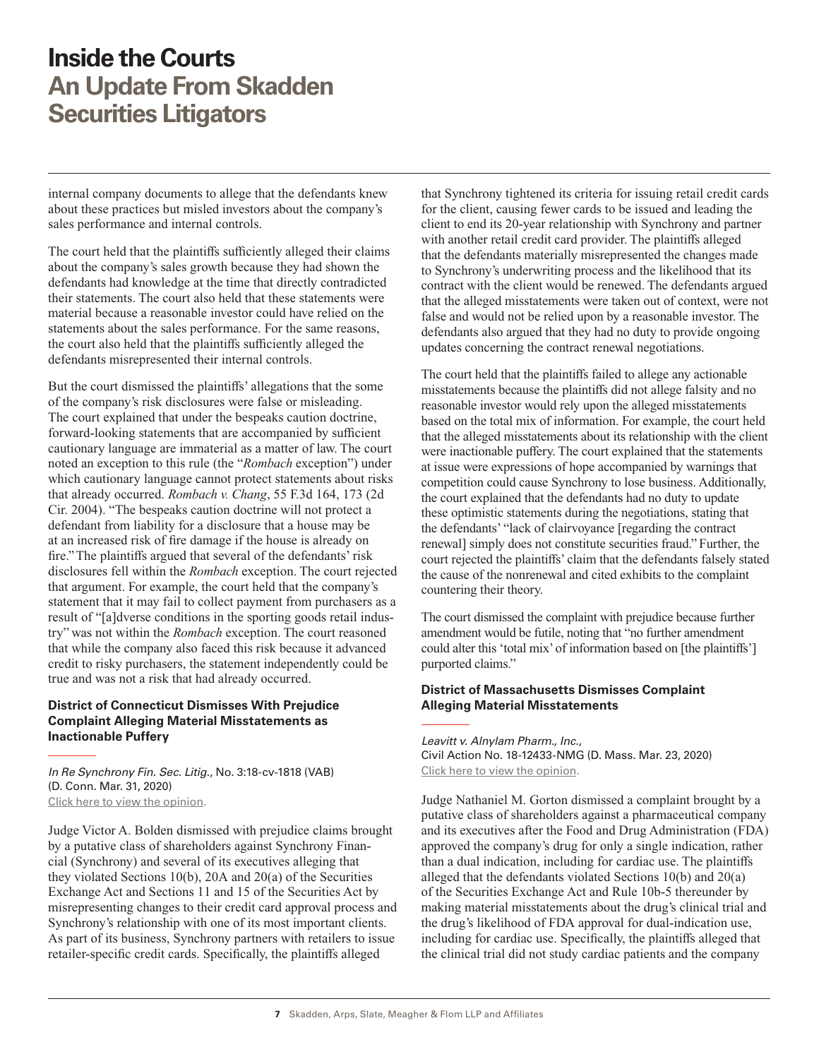<span id="page-6-0"></span>internal company documents to allege that the defendants knew about these practices but misled investors about the company's sales performance and internal controls.

The court held that the plaintiffs sufficiently alleged their claims about the company's sales growth because they had shown the defendants had knowledge at the time that directly contradicted their statements. The court also held that these statements were material because a reasonable investor could have relied on the statements about the sales performance. For the same reasons, the court also held that the plaintiffs sufficiently alleged the defendants misrepresented their internal controls.

But the court dismissed the plaintiffs' allegations that the some of the company's risk disclosures were false or misleading. The court explained that under the bespeaks caution doctrine, forward-looking statements that are accompanied by sufficient cautionary language are immaterial as a matter of law. The court noted an exception to this rule (the "*Rombach* exception") under which cautionary language cannot protect statements about risks that already occurred. *Rombach v. Chang*, 55 F.3d 164, 173 (2d Cir. 2004). "The bespeaks caution doctrine will not protect a defendant from liability for a disclosure that a house may be at an increased risk of fire damage if the house is already on fire." The plaintiffs argued that several of the defendants' risk disclosures fell within the *Rombach* exception. The court rejected that argument. For example, the court held that the company's statement that it may fail to collect payment from purchasers as a result of "[a]dverse conditions in the sporting goods retail industry" was not within the *Rombach* exception. The court reasoned that while the company also faced this risk because it advanced credit to risky purchasers, the statement independently could be true and was not a risk that had already occurred.

#### **District of Connecticut Dismisses With Prejudice Complaint Alleging Material Misstatements as Inactionable Puffery**

*In Re Synchrony Fin. Sec. Litig.*, No. 3:18-cv-1818 (VAB) (D. Conn. Mar. 31, 2020) [Click here to view the opinion](http://www.skadden.com/-/media/files/publications/2020/07/inside-the-courts/in-re-synchrony-fin-sec-litig-ruling-and-order.pdf).

Judge Victor A. Bolden dismissed with prejudice claims brought by a putative class of shareholders against Synchrony Financial (Synchrony) and several of its executives alleging that they violated Sections 10(b), 20A and 20(a) of the Securities Exchange Act and Sections 11 and 15 of the Securities Act by misrepresenting changes to their credit card approval process and Synchrony's relationship with one of its most important clients. As part of its business, Synchrony partners with retailers to issue retailer-specific credit cards. Specifically, the plaintiffs alleged

that Synchrony tightened its criteria for issuing retail credit cards for the client, causing fewer cards to be issued and leading the client to end its 20-year relationship with Synchrony and partner with another retail credit card provider. The plaintiffs alleged that the defendants materially misrepresented the changes made to Synchrony's underwriting process and the likelihood that its contract with the client would be renewed. The defendants argued that the alleged misstatements were taken out of context, were not false and would not be relied upon by a reasonable investor. The defendants also argued that they had no duty to provide ongoing updates concerning the contract renewal negotiations.

The court held that the plaintiffs failed to allege any actionable misstatements because the plaintiffs did not allege falsity and no reasonable investor would rely upon the alleged misstatements based on the total mix of information. For example, the court held that the alleged misstatements about its relationship with the client were inactionable puffery. The court explained that the statements at issue were expressions of hope accompanied by warnings that competition could cause Synchrony to lose business. Additionally, the court explained that the defendants had no duty to update these optimistic statements during the negotiations, stating that the defendants' "lack of clairvoyance [regarding the contract renewal] simply does not constitute securities fraud." Further, the court rejected the plaintiffs' claim that the defendants falsely stated the cause of the nonrenewal and cited exhibits to the complaint countering their theory.

The court dismissed the complaint with prejudice because further amendment would be futile, noting that "no further amendment could alter this 'total mix' of information based on [the plaintiffs'] purported claims."

#### **District of Massachusetts Dismisses Complaint Alleging Material Misstatements**

*Leavitt v. Alnylam Pharm., Inc.*, Civil Action No. 18-12433-NMG (D. Mass. Mar. 23, 2020) [Click here to view the opinion](http://www.skadden.com/-/media/files/publications/2020/07/inside-the-courts/alnylam-memorandum-and-order.pdf).

Judge Nathaniel M. Gorton dismissed a complaint brought by a putative class of shareholders against a pharmaceutical company and its executives after the Food and Drug Administration (FDA) approved the company's drug for only a single indication, rather than a dual indication, including for cardiac use. The plaintiffs alleged that the defendants violated Sections 10(b) and 20(a) of the Securities Exchange Act and Rule 10b-5 thereunder by making material misstatements about the drug's clinical trial and the drug's likelihood of FDA approval for dual-indication use, including for cardiac use. Specifically, the plaintiffs alleged that the clinical trial did not study cardiac patients and the company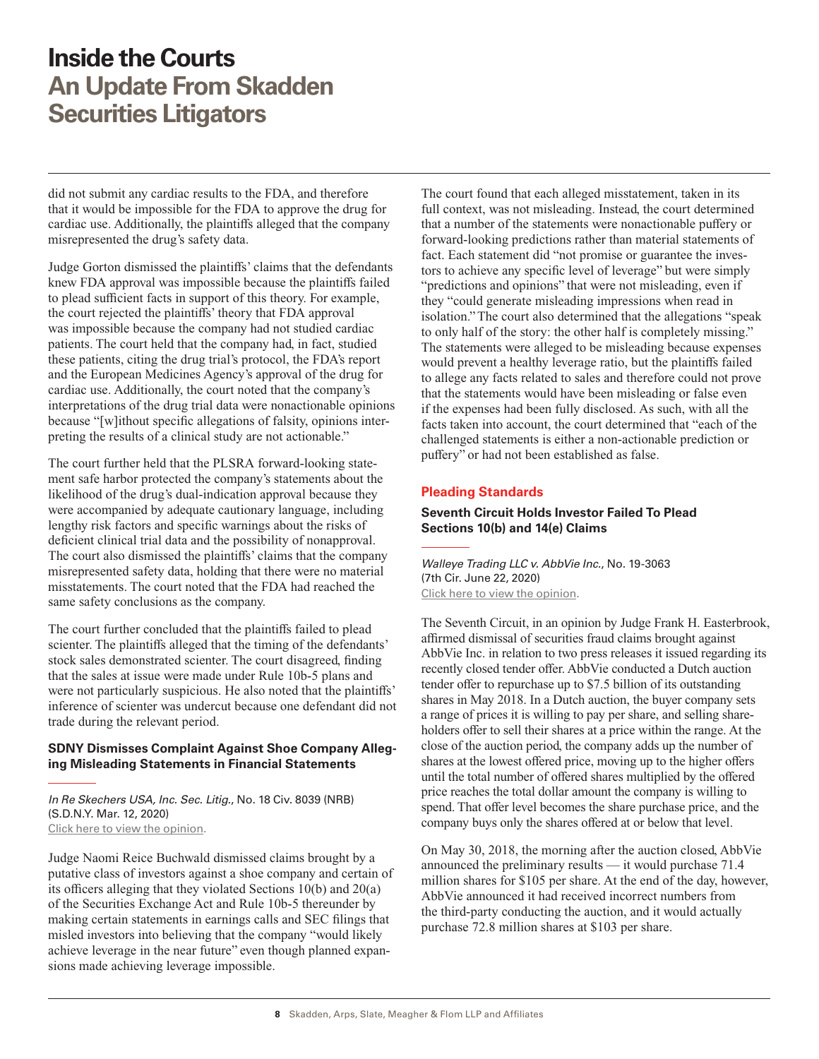<span id="page-7-0"></span>did not submit any cardiac results to the FDA, and therefore that it would be impossible for the FDA to approve the drug for cardiac use. Additionally, the plaintiffs alleged that the company misrepresented the drug's safety data.

Judge Gorton dismissed the plaintiffs' claims that the defendants knew FDA approval was impossible because the plaintiffs failed to plead sufficient facts in support of this theory. For example, the court rejected the plaintiffs' theory that FDA approval was impossible because the company had not studied cardiac patients. The court held that the company had, in fact, studied these patients, citing the drug trial's protocol, the FDA's report and the European Medicines Agency's approval of the drug for cardiac use. Additionally, the court noted that the company's interpretations of the drug trial data were nonactionable opinions because "[w]ithout specific allegations of falsity, opinions interpreting the results of a clinical study are not actionable."

The court further held that the PLSRA forward-looking statement safe harbor protected the company's statements about the likelihood of the drug's dual-indication approval because they were accompanied by adequate cautionary language, including lengthy risk factors and specific warnings about the risks of deficient clinical trial data and the possibility of nonapproval. The court also dismissed the plaintiffs' claims that the company misrepresented safety data, holding that there were no material misstatements. The court noted that the FDA had reached the same safety conclusions as the company.

The court further concluded that the plaintiffs failed to plead scienter. The plaintiffs alleged that the timing of the defendants' stock sales demonstrated scienter. The court disagreed, finding that the sales at issue were made under Rule 10b-5 plans and were not particularly suspicious. He also noted that the plaintiffs' inference of scienter was undercut because one defendant did not trade during the relevant period.

#### **SDNY Dismisses Complaint Against Shoe Company Alleging Misleading Statements in Financial Statements**

*In Re Skechers USA, Inc. Sec. Litig.*, No. 18 Civ. 8039 (NRB) (S.D.N.Y. Mar. 12, 2020) [Click here to view the opinion](http://www.skadden.com/-/media/files/publications/2020/07/inside-the-courts/in-re-skechers-usa-inc-sec-litig.pdf).

Judge Naomi Reice Buchwald dismissed claims brought by a putative class of investors against a shoe company and certain of its officers alleging that they violated Sections 10(b) and 20(a) of the Securities Exchange Act and Rule 10b-5 thereunder by making certain statements in earnings calls and SEC filings that misled investors into believing that the company "would likely achieve leverage in the near future" even though planned expansions made achieving leverage impossible.

The court found that each alleged misstatement, taken in its full context, was not misleading. Instead, the court determined that a number of the statements were nonactionable puffery or forward-looking predictions rather than material statements of fact. Each statement did "not promise or guarantee the investors to achieve any specific level of leverage" but were simply "predictions and opinions" that were not misleading, even if they "could generate misleading impressions when read in isolation." The court also determined that the allegations "speak to only half of the story: the other half is completely missing." The statements were alleged to be misleading because expenses would prevent a healthy leverage ratio, but the plaintiffs failed to allege any facts related to sales and therefore could not prove that the statements would have been misleading or false even if the expenses had been fully disclosed. As such, with all the facts taken into account, the court determined that "each of the challenged statements is either a non-actionable prediction or puffery" or had not been established as false.

#### **Pleading Standards**

#### **Seventh Circuit Holds Investor Failed To Plead Sections 10(b) and 14(e) Claims**

*Walleye Trading LLC v. AbbVie Inc.*, No. 19-3063 (7th Cir. June 22, 2020) [Click here to view the opinion](http://www.skadden.com/-/media/files/publications/2020/07/inside-the-courts/walleye-trading-llc-v-abbvie-inc.pdf).

The Seventh Circuit, in an opinion by Judge Frank H. Easterbrook, affirmed dismissal of securities fraud claims brought against AbbVie Inc. in relation to two press releases it issued regarding its recently closed tender offer. AbbVie conducted a Dutch auction tender offer to repurchase up to \$7.5 billion of its outstanding shares in May 2018. In a Dutch auction, the buyer company sets a range of prices it is willing to pay per share, and selling shareholders offer to sell their shares at a price within the range. At the close of the auction period, the company adds up the number of shares at the lowest offered price, moving up to the higher offers until the total number of offered shares multiplied by the offered price reaches the total dollar amount the company is willing to spend. That offer level becomes the share purchase price, and the company buys only the shares offered at or below that level.

On May 30, 2018, the morning after the auction closed, AbbVie announced the preliminary results — it would purchase 71.4 million shares for \$105 per share. At the end of the day, however, AbbVie announced it had received incorrect numbers from the third-party conducting the auction, and it would actually purchase 72.8 million shares at \$103 per share.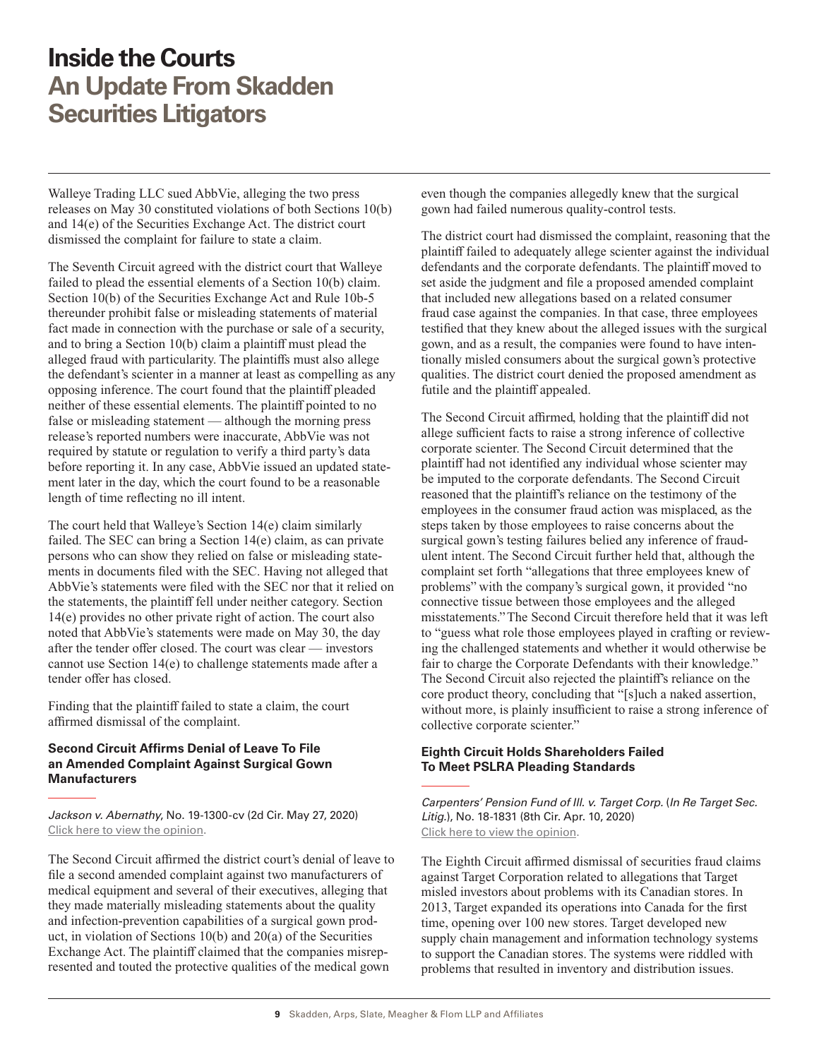<span id="page-8-0"></span>Walleye Trading LLC sued AbbVie, alleging the two press releases on May 30 constituted violations of both Sections 10(b) and 14(e) of the Securities Exchange Act. The district court dismissed the complaint for failure to state a claim.

The Seventh Circuit agreed with the district court that Walleye failed to plead the essential elements of a Section 10(b) claim. Section 10(b) of the Securities Exchange Act and Rule 10b-5 thereunder prohibit false or misleading statements of material fact made in connection with the purchase or sale of a security, and to bring a Section 10(b) claim a plaintiff must plead the alleged fraud with particularity. The plaintiffs must also allege the defendant's scienter in a manner at least as compelling as any opposing inference. The court found that the plaintiff pleaded neither of these essential elements. The plaintiff pointed to no false or misleading statement — although the morning press release's reported numbers were inaccurate, AbbVie was not required by statute or regulation to verify a third party's data before reporting it. In any case, AbbVie issued an updated statement later in the day, which the court found to be a reasonable length of time reflecting no ill intent.

The court held that Walleye's Section 14(e) claim similarly failed. The SEC can bring a Section 14(e) claim, as can private persons who can show they relied on false or misleading statements in documents filed with the SEC. Having not alleged that AbbVie's statements were filed with the SEC nor that it relied on the statements, the plaintiff fell under neither category. Section 14(e) provides no other private right of action. The court also noted that AbbVie's statements were made on May 30, the day after the tender offer closed. The court was clear — investors cannot use Section 14(e) to challenge statements made after a tender offer has closed.

Finding that the plaintiff failed to state a claim, the court affirmed dismissal of the complaint.

#### **Second Circuit Affirms Denial of Leave To File an Amended Complaint Against Surgical Gown Manufacturers**

*Jackson v. Abernathy*, No. 19-1300-cv (2d Cir. May 27, 2020) [Click here to view the opinion](http://www.skadden.com/-/media/files/publications/2020/07/inside-the-courts/jackson-v-abernathy-2d-cir-52720.pdf).

The Second Circuit affirmed the district court's denial of leave to file a second amended complaint against two manufacturers of medical equipment and several of their executives, alleging that they made materially misleading statements about the quality and infection-prevention capabilities of a surgical gown product, in violation of Sections 10(b) and 20(a) of the Securities Exchange Act. The plaintiff claimed that the companies misrepresented and touted the protective qualities of the medical gown

even though the companies allegedly knew that the surgical gown had failed numerous quality-control tests.

The district court had dismissed the complaint, reasoning that the plaintiff failed to adequately allege scienter against the individual defendants and the corporate defendants. The plaintiff moved to set aside the judgment and file a proposed amended complaint that included new allegations based on a related consumer fraud case against the companies. In that case, three employees testified that they knew about the alleged issues with the surgical gown, and as a result, the companies were found to have intentionally misled consumers about the surgical gown's protective qualities. The district court denied the proposed amendment as futile and the plaintiff appealed.

The Second Circuit affirmed, holding that the plaintiff did not allege sufficient facts to raise a strong inference of collective corporate scienter. The Second Circuit determined that the plaintiff had not identified any individual whose scienter may be imputed to the corporate defendants. The Second Circuit reasoned that the plaintiff's reliance on the testimony of the employees in the consumer fraud action was misplaced, as the steps taken by those employees to raise concerns about the surgical gown's testing failures belied any inference of fraudulent intent. The Second Circuit further held that, although the complaint set forth "allegations that three employees knew of problems" with the company's surgical gown, it provided "no connective tissue between those employees and the alleged misstatements." The Second Circuit therefore held that it was left to "guess what role those employees played in crafting or reviewing the challenged statements and whether it would otherwise be fair to charge the Corporate Defendants with their knowledge." The Second Circuit also rejected the plaintiff's reliance on the core product theory, concluding that "[s]uch a naked assertion, without more, is plainly insufficient to raise a strong inference of collective corporate scienter."

#### **Eighth Circuit Holds Shareholders Failed To Meet PSLRA Pleading Standards**

*Carpenters' Pension Fund of Ill. v. Target Corp.* (*In Re Target Sec. Litig.*), No. 18-1831 (8th Cir. Apr. 10, 2020) [Click here to view the opinion](http://www.skadden.com/-/media/files/publications/2020/07/inside-the-courts/in-re-target-securities-litigation.pdf).

The Eighth Circuit affirmed dismissal of securities fraud claims against Target Corporation related to allegations that Target misled investors about problems with its Canadian stores. In 2013, Target expanded its operations into Canada for the first time, opening over 100 new stores. Target developed new supply chain management and information technology systems to support the Canadian stores. The systems were riddled with problems that resulted in inventory and distribution issues.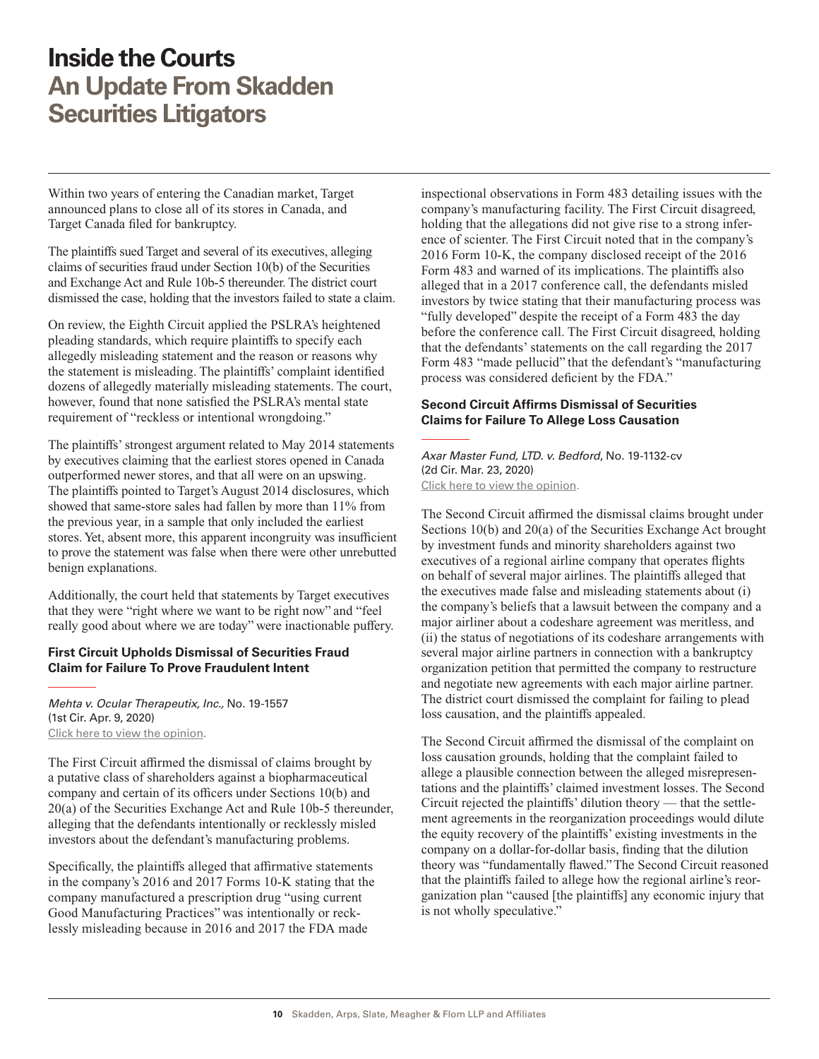<span id="page-9-0"></span>Within two years of entering the Canadian market, Target announced plans to close all of its stores in Canada, and Target Canada filed for bankruptcy.

The plaintiffs sued Target and several of its executives, alleging claims of securities fraud under Section 10(b) of the Securities and Exchange Act and Rule 10b-5 thereunder. The district court dismissed the case, holding that the investors failed to state a claim.

On review, the Eighth Circuit applied the PSLRA's heightened pleading standards, which require plaintiffs to specify each allegedly misleading statement and the reason or reasons why the statement is misleading. The plaintiffs' complaint identified dozens of allegedly materially misleading statements. The court, however, found that none satisfied the PSLRA's mental state requirement of "reckless or intentional wrongdoing."

The plaintiffs' strongest argument related to May 2014 statements by executives claiming that the earliest stores opened in Canada outperformed newer stores, and that all were on an upswing. The plaintiffs pointed to Target's August 2014 disclosures, which showed that same-store sales had fallen by more than 11% from the previous year, in a sample that only included the earliest stores. Yet, absent more, this apparent incongruity was insufficient to prove the statement was false when there were other unrebutted benign explanations.

Additionally, the court held that statements by Target executives that they were "right where we want to be right now" and "feel really good about where we are today" were inactionable puffery.

#### **First Circuit Upholds Dismissal of Securities Fraud Claim for Failure To Prove Fraudulent Intent**

*Mehta v. Ocular Therapeutix, Inc.,* No. 19-1557 (1st Cir. Apr. 9, 2020) [Click here to view the opinion](http://www.skadden.com/-/media/files/publications/2020/07/inside-the-courts/mehta-v-ocular-theraputix-inc.pdf).

The First Circuit affirmed the dismissal of claims brought by a putative class of shareholders against a biopharmaceutical company and certain of its officers under Sections 10(b) and 20(a) of the Securities Exchange Act and Rule 10b-5 thereunder, alleging that the defendants intentionally or recklessly misled investors about the defendant's manufacturing problems.

Specifically, the plaintiffs alleged that affirmative statements in the company's 2016 and 2017 Forms 10-K stating that the company manufactured a prescription drug "using current Good Manufacturing Practices" was intentionally or recklessly misleading because in 2016 and 2017 the FDA made

inspectional observations in Form 483 detailing issues with the company's manufacturing facility. The First Circuit disagreed, holding that the allegations did not give rise to a strong inference of scienter. The First Circuit noted that in the company's 2016 Form 10-K, the company disclosed receipt of the 2016 Form 483 and warned of its implications. The plaintiffs also alleged that in a 2017 conference call, the defendants misled investors by twice stating that their manufacturing process was "fully developed" despite the receipt of a Form 483 the day before the conference call. The First Circuit disagreed, holding that the defendants' statements on the call regarding the 2017 Form 483 "made pellucid" that the defendant's "manufacturing process was considered deficient by the FDA."

#### **Second Circuit Affirms Dismissal of Securities Claims for Failure To Allege Loss Causation**

*Axar Master Fund, LTD. v. Bedford*, No. 19-1132-cv (2d Cir. Mar. 23, 2020) [Click here to view the opinion](http://www.skadden.com/-/media/files/publications/2020/07/inside-the-courts/axar-master-v-bedford-2d-cir-32320-kasner.pdf).

The Second Circuit affirmed the dismissal claims brought under Sections 10(b) and 20(a) of the Securities Exchange Act brought by investment funds and minority shareholders against two executives of a regional airline company that operates flights on behalf of several major airlines. The plaintiffs alleged that the executives made false and misleading statements about (i) the company's beliefs that a lawsuit between the company and a major airliner about a codeshare agreement was meritless, and (ii) the status of negotiations of its codeshare arrangements with several major airline partners in connection with a bankruptcy organization petition that permitted the company to restructure and negotiate new agreements with each major airline partner. The district court dismissed the complaint for failing to plead loss causation, and the plaintiffs appealed.

The Second Circuit affirmed the dismissal of the complaint on loss causation grounds, holding that the complaint failed to allege a plausible connection between the alleged misrepresentations and the plaintiffs' claimed investment losses. The Second Circuit rejected the plaintiffs' dilution theory — that the settlement agreements in the reorganization proceedings would dilute the equity recovery of the plaintiffs' existing investments in the company on a dollar-for-dollar basis, finding that the dilution theory was "fundamentally flawed." The Second Circuit reasoned that the plaintiffs failed to allege how the regional airline's reorganization plan "caused [the plaintiffs] any economic injury that is not wholly speculative."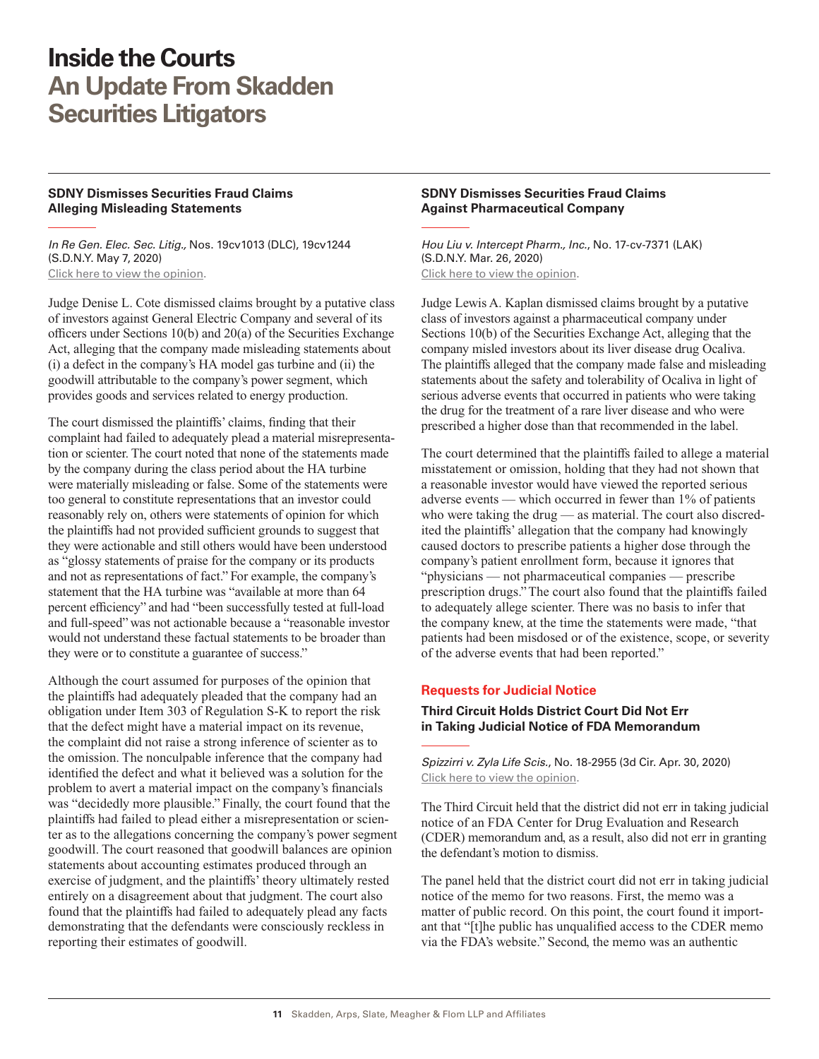#### <span id="page-10-0"></span>**SDNY Dismisses Securities Fraud Claims Alleging Misleading Statements**

*In Re Gen. Elec. Sec. Litig.,* Nos. 19cv1013 (DLC), 19cv1244 (S.D.N.Y. May 7, 2020) [Click here to view the opinion](http://www.skadden.com/-/media/files/publications/2020/07/inside-the-courts/in-re-general-electric-securities-litig--opinion.pdf).

Judge Denise L. Cote dismissed claims brought by a putative class of investors against General Electric Company and several of its officers under Sections 10(b) and 20(a) of the Securities Exchange Act, alleging that the company made misleading statements about (i) a defect in the company's HA model gas turbine and (ii) the goodwill attributable to the company's power segment, which provides goods and services related to energy production.

The court dismissed the plaintiffs' claims, finding that their complaint had failed to adequately plead a material misrepresentation or scienter. The court noted that none of the statements made by the company during the class period about the HA turbine were materially misleading or false. Some of the statements were too general to constitute representations that an investor could reasonably rely on, others were statements of opinion for which the plaintiffs had not provided sufficient grounds to suggest that they were actionable and still others would have been understood as "glossy statements of praise for the company or its products and not as representations of fact." For example, the company's statement that the HA turbine was "available at more than 64 percent efficiency" and had "been successfully tested at full-load and full-speed" was not actionable because a "reasonable investor would not understand these factual statements to be broader than they were or to constitute a guarantee of success."

Although the court assumed for purposes of the opinion that the plaintiffs had adequately pleaded that the company had an obligation under Item 303 of Regulation S-K to report the risk that the defect might have a material impact on its revenue, the complaint did not raise a strong inference of scienter as to the omission. The nonculpable inference that the company had identified the defect and what it believed was a solution for the problem to avert a material impact on the company's financials was "decidedly more plausible." Finally, the court found that the plaintiffs had failed to plead either a misrepresentation or scienter as to the allegations concerning the company's power segment goodwill. The court reasoned that goodwill balances are opinion statements about accounting estimates produced through an exercise of judgment, and the plaintiffs' theory ultimately rested entirely on a disagreement about that judgment. The court also found that the plaintiffs had failed to adequately plead any facts demonstrating that the defendants were consciously reckless in reporting their estimates of goodwill.

#### **SDNY Dismisses Securities Fraud Claims Against Pharmaceutical Company**

*Hou Liu v. Intercept Pharm., Inc.*, No. 17-cv-7371 (LAK) (S.D.N.Y. Mar. 26, 2020) [Click here to view the opinion](http://www.skadden.com/-/media/files/publications/2020/07/inside-the-courts/liu-v-interceptmtd-order.pdf).

Judge Lewis A. Kaplan dismissed claims brought by a putative class of investors against a pharmaceutical company under Sections 10(b) of the Securities Exchange Act, alleging that the company misled investors about its liver disease drug Ocaliva. The plaintiffs alleged that the company made false and misleading statements about the safety and tolerability of Ocaliva in light of serious adverse events that occurred in patients who were taking the drug for the treatment of a rare liver disease and who were prescribed a higher dose than that recommended in the label.

The court determined that the plaintiffs failed to allege a material misstatement or omission, holding that they had not shown that a reasonable investor would have viewed the reported serious adverse events — which occurred in fewer than 1% of patients who were taking the drug — as material. The court also discredited the plaintiffs' allegation that the company had knowingly caused doctors to prescribe patients a higher dose through the company's patient enrollment form, because it ignores that "physicians — not pharmaceutical companies — prescribe prescription drugs." The court also found that the plaintiffs failed to adequately allege scienter. There was no basis to infer that the company knew, at the time the statements were made, "that patients had been misdosed or of the existence, scope, or severity of the adverse events that had been reported."

#### **Requests for Judicial Notice**

#### **Third Circuit Holds District Court Did Not Err in Taking Judicial Notice of FDA Memorandum**

*Spizzirri v. Zyla Life Scis.*, No. 18-2955 (3d Cir. Apr. 30, 2020) [Click here to view the opinion](http://www.skadden.com/-/media/files/publications/2020/07/inside-the-courts/spizzirri-v-zyla-life-sciences.pdf).

The Third Circuit held that the district did not err in taking judicial notice of an FDA Center for Drug Evaluation and Research (CDER) memorandum and, as a result, also did not err in granting the defendant's motion to dismiss.

The panel held that the district court did not err in taking judicial notice of the memo for two reasons. First, the memo was a matter of public record. On this point, the court found it important that "[t]he public has unqualified access to the CDER memo via the FDA's website." Second, the memo was an authentic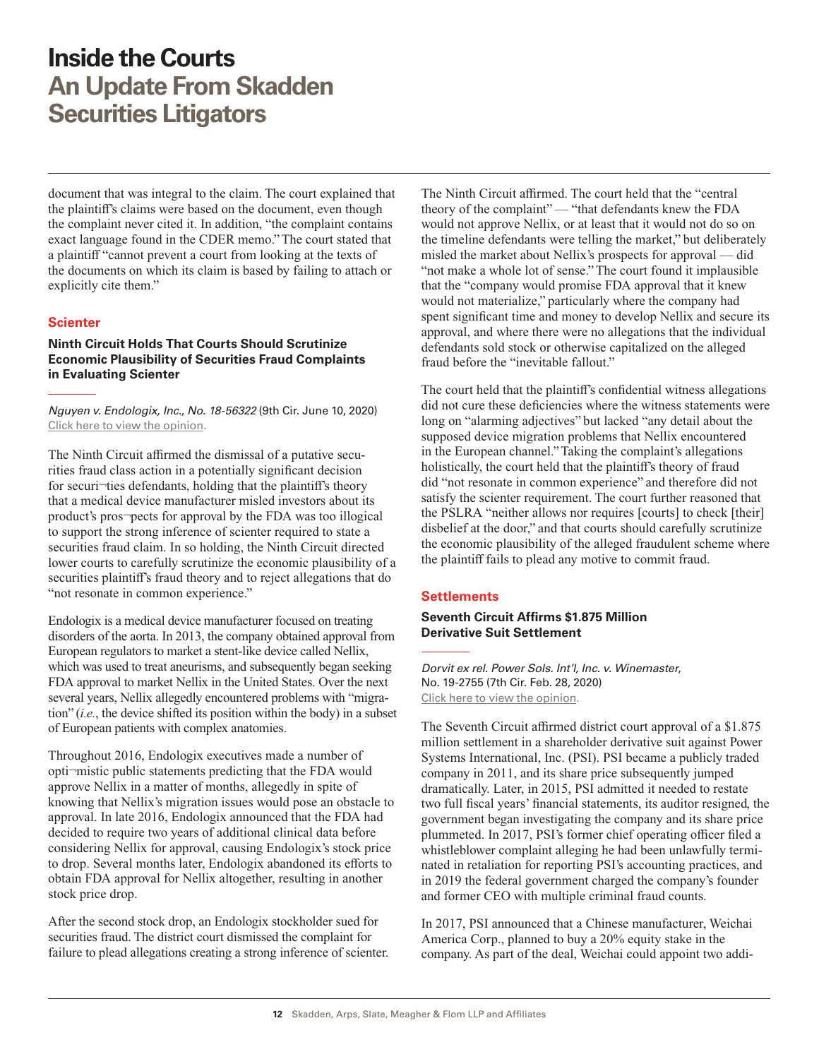<span id="page-11-0"></span>document that was integral to the claim. The court explained that the plaintiff's claims were based on the document, even though the complaint never cited it. In addition, "the complaint contains exact language found in the CDER memo." The court stated that a plaintiff "cannot prevent a court from looking at the texts of the documents on which its claim is based by failing to attach or explicitly cite them."

#### **Scienter**

**Ninth Circuit Holds That Courts Should Scrutinize Economic Plausibility of Securities Fraud Complaints in Evaluating Scienter**

*Nguyen v. Endologix, Inc., No. 18-56322* (9th Cir. June 10, 2020) [Click here to view the opinion](http://www.skadden.com/-/media/files/publications/2020/07/inside-the-courts/nguyen-v-endologix.pdf).

The Ninth Circuit affirmed the dismissal of a putative securities fraud class action in a potentially significant decision for securi-ties defendants, holding that the plaintiff's theory that a medical device manufacturer misled investors about its product's pros¬pects for approval by the FDA was too illogical to support the strong inference of scienter required to state a securities fraud claim. In so holding, the Ninth Circuit directed lower courts to carefully scrutinize the economic plausibility of a securities plaintiff's fraud theory and to reject allegations that do "not resonate in common experience."

Endologix is a medical device manufacturer focused on treating disorders of the aorta. In 2013, the company obtained approval from European regulators to market a stent-like device called Nellix, which was used to treat aneurisms, and subsequently began seeking FDA approval to market Nellix in the United States. Over the next several years, Nellix allegedly encountered problems with "migration" (*i.e.*, the device shifted its position within the body) in a subset of European patients with complex anatomies.

Throughout 2016, Endologix executives made a number of opti¬mistic public statements predicting that the FDA would approve Nellix in a matter of months, allegedly in spite of knowing that Nellix's migration issues would pose an obstacle to approval. In late 2016, Endologix announced that the FDA had decided to require two years of additional clinical data before considering Nellix for approval, causing Endologix's stock price to drop. Several months later, Endologix abandoned its efforts to obtain FDA approval for Nellix altogether, resulting in another stock price drop.

After the second stock drop, an Endologix stockholder sued for securities fraud. The district court dismissed the complaint for failure to plead allegations creating a strong inference of scienter. The Ninth Circuit affirmed. The court held that the "central theory of the complaint" — "that defendants knew the FDA would not approve Nellix, or at least that it would not do so on the timeline defendants were telling the market," but deliberately misled the market about Nellix's prospects for approval — did "not make a whole lot of sense." The court found it implausible that the "company would promise FDA approval that it knew would not materialize," particularly where the company had spent significant time and money to develop Nellix and secure its approval, and where there were no allegations that the individual defendants sold stock or otherwise capitalized on the alleged fraud before the "inevitable fallout."

The court held that the plaintiff's confidential witness allegations did not cure these deficiencies where the witness statements were long on "alarming adjectives" but lacked "any detail about the supposed device migration problems that Nellix encountered in the European channel." Taking the complaint's allegations holistically, the court held that the plaintiff's theory of fraud did "not resonate in common experience" and therefore did not satisfy the scienter requirement. The court further reasoned that the PSLRA "neither allows nor requires [courts] to check [their] disbelief at the door," and that courts should carefully scrutinize the economic plausibility of the alleged fraudulent scheme where the plaintiff fails to plead any motive to commit fraud.

#### **Settlements**

#### **Seventh Circuit Affirms \$1.875 Million Derivative Suit Settlement**

*Dorvit ex rel. Power Sols. Int'l, Inc. v. Winemaster*, No. 19-2755 (7th Cir. Feb. 28, 2020) [Click here to view the opinion](http://www.skadden.com/-/media/files/publications/2020/07/inside-the-courts/mcfadden-v-dorvit.pdf).

The Seventh Circuit affirmed district court approval of a \$1.875 million settlement in a shareholder derivative suit against Power Systems International, Inc. (PSI). PSI became a publicly traded company in 2011, and its share price subsequently jumped dramatically. Later, in 2015, PSI admitted it needed to restate two full fiscal years' financial statements, its auditor resigned, the government began investigating the company and its share price plummeted. In 2017, PSI's former chief operating officer filed a whistleblower complaint alleging he had been unlawfully terminated in retaliation for reporting PSI's accounting practices, and in 2019 the federal government charged the company's founder and former CEO with multiple criminal fraud counts.

In 2017, PSI announced that a Chinese manufacturer, Weichai America Corp., planned to buy a 20% equity stake in the company. As part of the deal, Weichai could appoint two addi-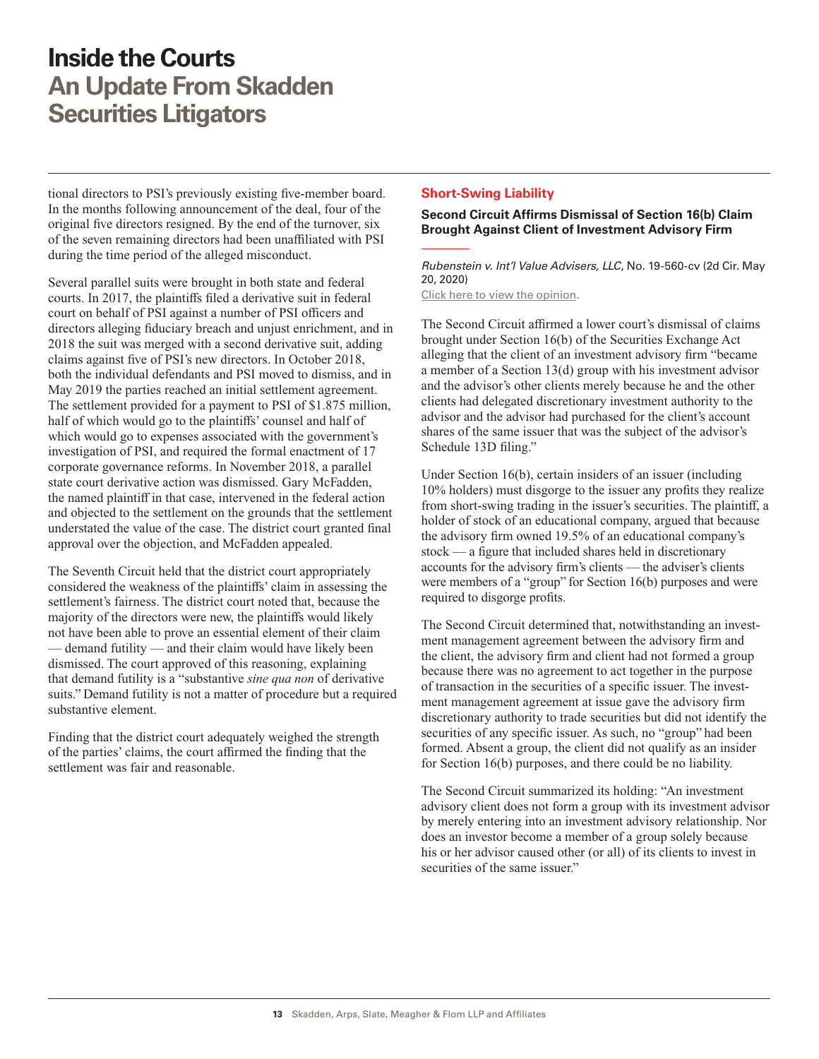<span id="page-12-0"></span>tional directors to PSI's previously existing five-member board. In the months following announcement of the deal, four of the original five directors resigned. By the end of the turnover, six of the seven remaining directors had been unaffiliated with PSI during the time period of the alleged misconduct.

Several parallel suits were brought in both state and federal courts. In 2017, the plaintiffs filed a derivative suit in federal court on behalf of PSI against a number of PSI officers and directors alleging fiduciary breach and unjust enrichment, and in 2018 the suit was merged with a second derivative suit, adding claims against five of PSI's new directors. In October 2018, both the individual defendants and PSI moved to dismiss, and in May 2019 the parties reached an initial settlement agreement. The settlement provided for a payment to PSI of \$1.875 million, half of which would go to the plaintiffs' counsel and half of which would go to expenses associated with the government's investigation of PSI, and required the formal enactment of 17 corporate governance reforms. In November 2018, a parallel state court derivative action was dismissed. Gary McFadden, the named plaintiff in that case, intervened in the federal action and objected to the settlement on the grounds that the settlement understated the value of the case. The district court granted final approval over the objection, and McFadden appealed.

The Seventh Circuit held that the district court appropriately considered the weakness of the plaintiffs' claim in assessing the settlement's fairness. The district court noted that, because the majority of the directors were new, the plaintiffs would likely not have been able to prove an essential element of their claim — demand futility — and their claim would have likely been dismissed. The court approved of this reasoning, explaining that demand futility is a "substantive *sine qua non* of derivative suits." Demand futility is not a matter of procedure but a required substantive element.

Finding that the district court adequately weighed the strength of the parties' claims, the court affirmed the finding that the settlement was fair and reasonable.

#### **Short-Swing Liability**

#### **Second Circuit Affirms Dismissal of Section 16(b) Claim Brought Against Client of Investment Advisory Firm**

*Rubenstein v. Int'l Value Advisers, LLC*, No. 19-560-cv (2d Cir. May 20, 2020)

[Click here to view the opinion](http://www.skadden.com/-/media/files/publications/2020/07/inside-the-courts/rubenstein-v-intl-value-advisers-llc.pdf).

The Second Circuit affirmed a lower court's dismissal of claims brought under Section 16(b) of the Securities Exchange Act alleging that the client of an investment advisory firm "became a member of a Section 13(d) group with his investment advisor and the advisor's other clients merely because he and the other clients had delegated discretionary investment authority to the advisor and the advisor had purchased for the client's account shares of the same issuer that was the subject of the advisor's Schedule 13D filing."

Under Section 16(b), certain insiders of an issuer (including 10% holders) must disgorge to the issuer any profits they realize from short-swing trading in the issuer's securities. The plaintiff, a holder of stock of an educational company, argued that because the advisory firm owned 19.5% of an educational company's stock — a figure that included shares held in discretionary accounts for the advisory firm's clients — the adviser's clients were members of a "group" for Section 16(b) purposes and were required to disgorge profits.

The Second Circuit determined that, notwithstanding an investment management agreement between the advisory firm and the client, the advisory firm and client had not formed a group because there was no agreement to act together in the purpose of transaction in the securities of a specific issuer. The investment management agreement at issue gave the advisory firm discretionary authority to trade securities but did not identify the securities of any specific issuer. As such, no "group" had been formed. Absent a group, the client did not qualify as an insider for Section 16(b) purposes, and there could be no liability.

The Second Circuit summarized its holding: "An investment advisory client does not form a group with its investment advisor by merely entering into an investment advisory relationship. Nor does an investor become a member of a group solely because his or her advisor caused other (or all) of its clients to invest in securities of the same issuer."